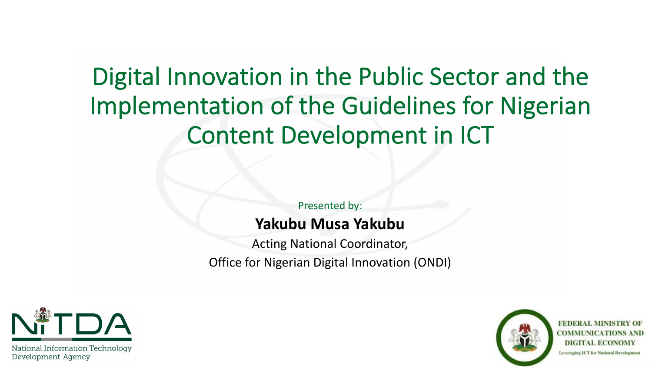# Digital Innovation in the Public Sector and the Implementation of the Guidelines for Nigerian Content Development in ICT

Presented by:

#### **Yakubu Musa Yakubu**

Acting National Coordinator, Office for Nigerian Digital Innovation (ONDI)



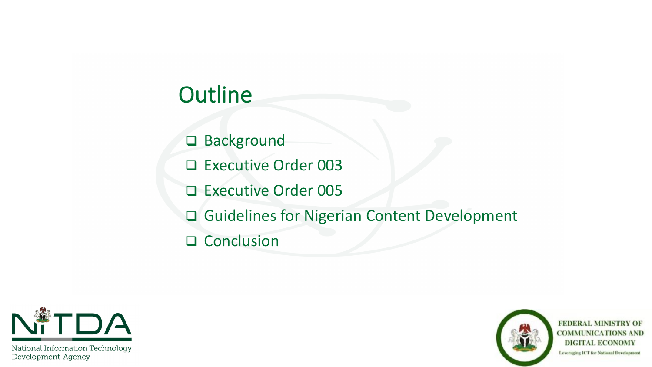### **Outline**

□ Background

□ Executive Order 003

D Executive Order 005

□ Guidelines for Nigerian Content Development

Q Conclusion



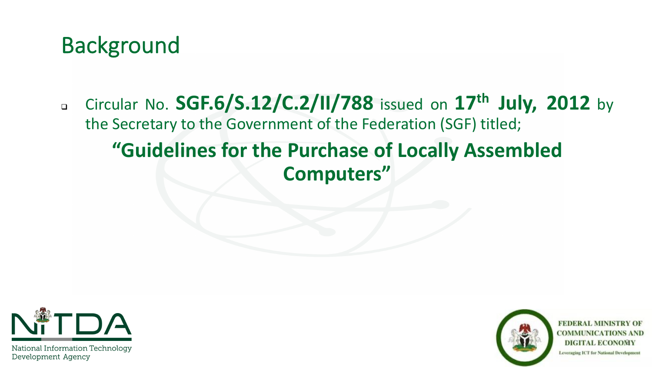

<sup>q</sup> Circular No. **SGF.6/S.12/C.2/II/788** issued on **17th July, 2012** by the Secretary to the Government of the Federation (SGF) titled; **"Guidelines for the Purchase of Locally Assembled** 

## **Computers"**



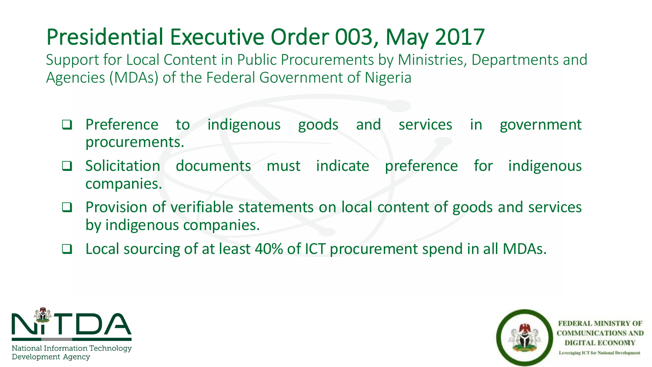## Presidential Executive Order 003, May 2017

Support for Local Content in Public Procurements by Ministries, Departments and Agencies (MDAs) of the Federal Government of Nigeria

- □ Preference to indigenous goods and services in government procurements.
- □ Solicitation documents must indicate preference for indigenous companies.
- $\Box$  Provision of verifiable statements on local content of goods and services by indigenous companies.
- □ Local sourcing of at least 40% of ICT procurement spend in all MDAs.



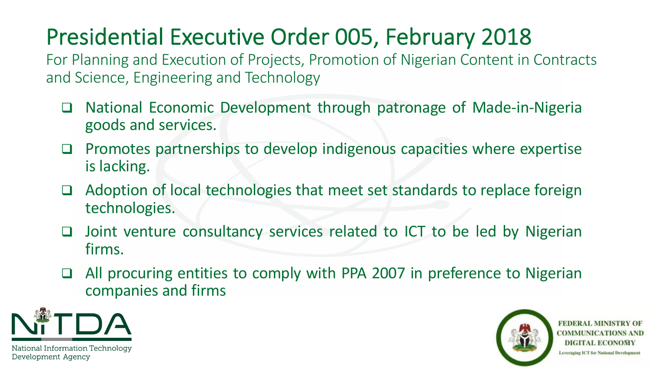# Presidential Executive Order 005, February 2018

For Planning and Execution of Projects, Promotion of Nigerian Content in Contracts and Science, Engineering and Technology

- □ National Economic Development through patronage of Made-in-Nigeria goods and services.
- $\Box$  Promotes partnerships to develop indigenous capacities where expertise is lacking.
- $\Box$  Adoption of local technologies that meet set standards to replace foreign technologies.
- $\Box$  Joint venture consultancy services related to ICT to be led by Nigerian firms.
- □ All procuring entities to comply with PPA 2007 in preference to Nigerian companies and firms



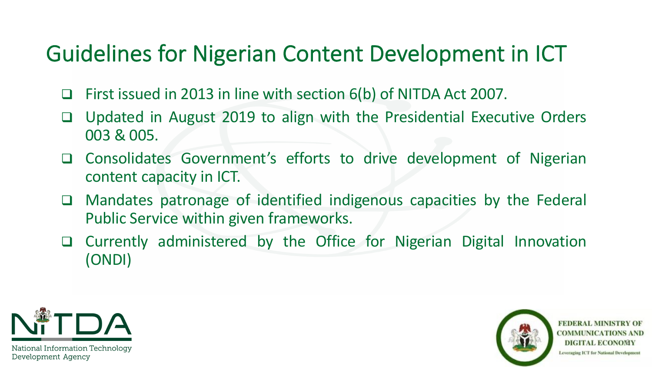### Guidelines for Nigerian Content Development in ICT

- □ First issued in 2013 in line with section 6(b) of NITDA Act 2007.
- □ Updated in August 2019 to align with the Presidential Executive Orders 003 & 005.
- □ Consolidates Government's efforts to drive development of Nigerian content capacity in ICT.
- $\Box$  Mandates patronage of identified indigenous capacities by the Federal Public Service within given frameworks.
- $\Box$  Currently administered by the Office for Nigerian Digital Innovation (ONDI)



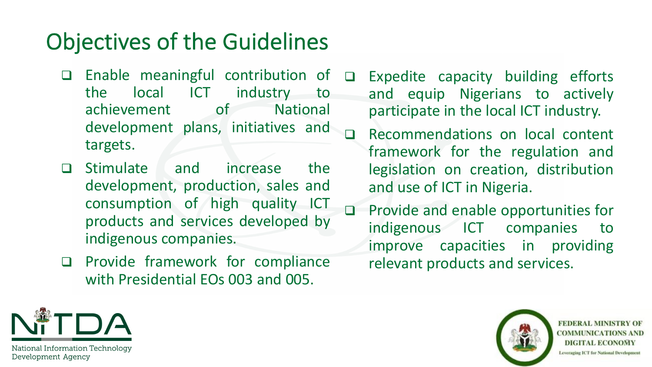### Objectives of the Guidelines

- $\Box$  Enable meaningful contribution of the local ICT industry to achievement of National development plans, initiatives and targets.
- q Stimulate and increase the development, production, sales and consumption of high quality ICT products and services developed by indigenous companies.
- $\Box$  Provide framework for compliance with Presidential EOs 003 and 005.
- $\Box$  Expedite capacity building efforts and equip Nigerians to actively participate in the local ICT industry.
	- Recommendations on local content framework for the regulation and legislation on creation, distribution and use of ICT in Nigeria.
- □ Provide and enable opportunities for indigenous ICT companies to improve capacities in providing relevant products and services.



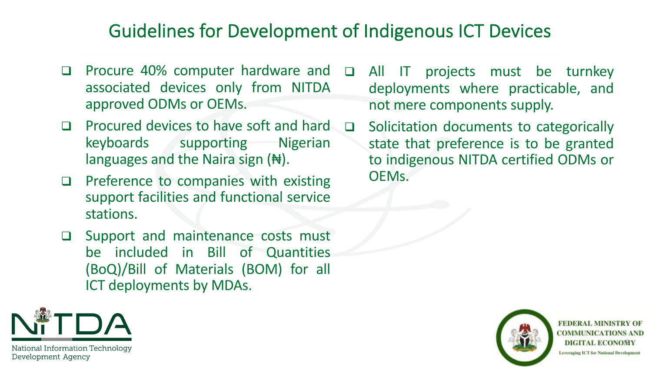#### Guidelines for Development of Indigenous ICT Devices

- $\Box$  Procure 40% computer hardware and  $\Box$ associated devices only from NITDA approved ODMs or OEMs.
- $\Box$  Procured devices to have soft and hard keyboards supporting Nigerian languages and the Naira sign  $(\forall)$ .
- $\Box$  Preference to companies with existing support facilities and functional service stations.
- $\Box$  Support and maintenance costs must be included in Bill of Quantities (BoQ)/Bill of Materials (BOM) for all ICT deployments by MDAs.
- All IT projects must be turnkey deployments where practicable, and not mere components supply.
- □ Solicitation documents to categorically state that preference is to be granted to indigenous NITDA certified ODMs or OEMs.



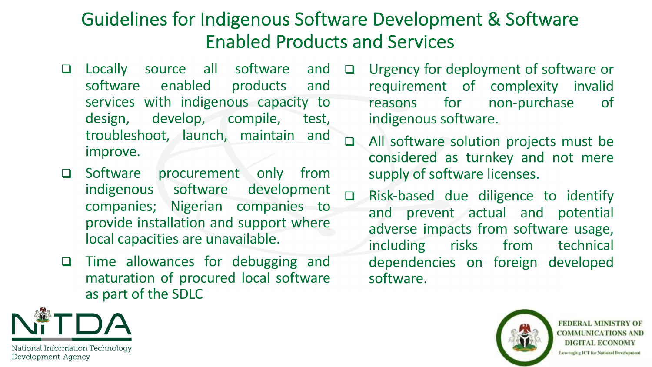#### Guidelines for Indigenous Software Development & Software Enabled Products and Services

- **Q** Locally source all software and software enabled products and services with indigenous capacity to design, develop, compile, test, troubleshoot, launch, maintain and improve.
- **Q** Software procurement only from indigenous software development companies; Nigerian companies to provide installation and support where local capacities are unavailable.
- □ Time allowances for debugging and maturation of procured local software as part of the SDLC
- □ Urgency for deployment of software or requirement of complexity invalid reasons for non-purchase of indigenous software.
- q All software solution projects must be considered as turnkey and not mere supply of software licenses.
- □ Risk-based due diligence to identify and prevent actual and potential adverse impacts from software usage, including risks from technical dependencies on foreign developed software.

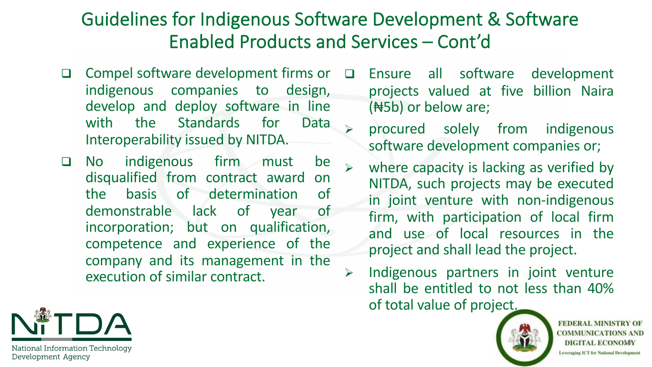#### Guidelines for Indigenous Software Development & Software Enabled Products and Services – Cont'd

- □ Compel software development firms or indigenous companies to design, develop and deploy software in line with the Standards for Data Interoperability issued by NITDA.
- Q No indigenous firm must be disqualified from contract award on the basis of determination of demonstrable lack of year of incorporation; but on qualification, competence and experience of the company and its management in the execution of similar contract.
- □ Ensure all software development projects valued at five billion Naira (₦5b) or below are;
	- procured solely from indigenous software development companies or;
	- where capacity is lacking as verified by NITDA, such projects may be executed in joint venture with non-indigenous firm, with participation of local firm and use of local resources in the project and shall lead the project.
- $\triangleright$  Indigenous partners in joint venture shall be entitled to not less than 40% of total value of project.



**FEDERAL MINISTRY OF COMMUNICATIONS AND DIGITAL ECONOMY** Leveraging ICT for National Development

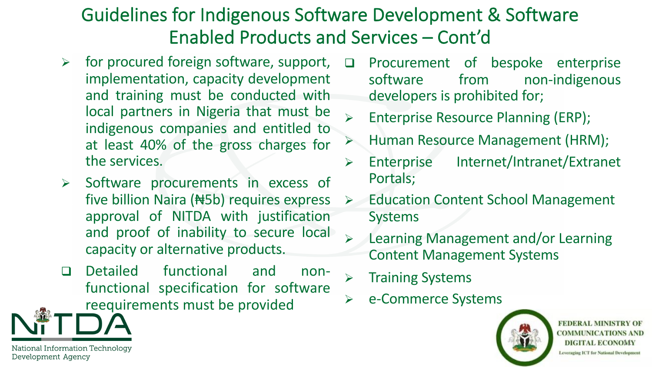### Guidelines for Indigenous Software Development & Software Enabled Products and Services – Cont'd

- $\triangleright$  for procured foreign software, support, implementation, capacity development and training must be conducted with local partners in Nigeria that must be indigenous companies and entitled to at least 40% of the gross charges for the services.
- $\triangleright$  Software procurements in excess of five billion Naira (₦5b) requires express approval of NITDA with justification and proof of inability to secure local capacity or alternative products.
- q Detailed functional and nonfunctional specification for software reequirements must be provided
- Procurement of bespoke enterprise software from non-indigenous developers is prohibited for;
- Enterprise Resource Planning (ERP);
- Ø Human Resource Management (HRM);
- Ø Enterprise Internet/Intranet/Extranet Portals;
- **▶ Education Content School Management** Systems
- $\triangleright$  Learning Management and/or Learning Content Management Systems
- $\triangleright$  Training Systems
- Ø e-Commerce Systems



**FEDERAL MINISTRY OF COMMUNICATIONS AND** DIGITAL ECONOMY Leveraging ICT for National Development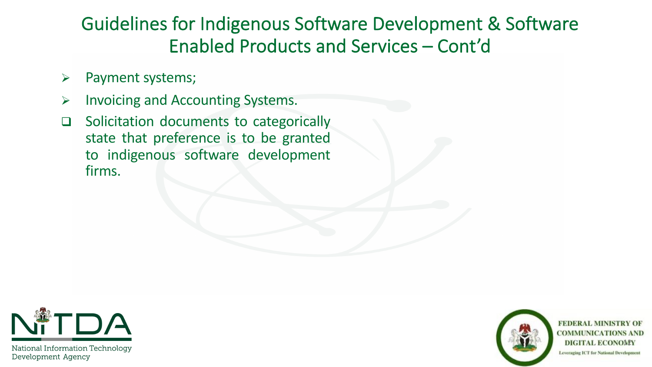#### Guidelines for Indigenous Software Development & Software Enabled Products and Services – Cont'd

- $\triangleright$  Payment systems;
- $\triangleright$  Invoicing and Accounting Systems.
- □ Solicitation documents to categorically state that preference is to be granted to indigenous software development firms.



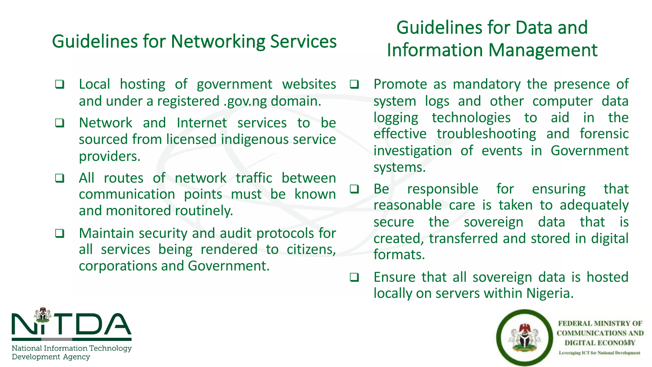#### Guidelines for Networking Services

- $\Box$  Local hosting of government websites and under a registered .gov.ng domain.
- **Q** Network and Internet services to be sourced from licensed indigenous service providers.
- q All routes of network traffic between communication points must be known and monitored routinely.
- $\Box$  Maintain security and audit protocols for all services being rendered to citizens, corporations and Government.

#### Guidelines for Data and Information Management

- $\Box$  Promote as mandatory the presence of system logs and other computer data logging technologies to aid in the effective troubleshooting and forensic investigation of events in Government systems.
- $\Box$  Be responsible for ensuring that reasonable care is taken to adequately secure the sovereign data that is created, transferred and stored in digital formats.
- $\Box$  Ensure that all sovereign data is hosted locally on servers within Nigeria.



**FEDERAL MINISTRY OF COMMUNICATIONS AND DIGITAL ECONOMY** Leveraging ICT for National Development